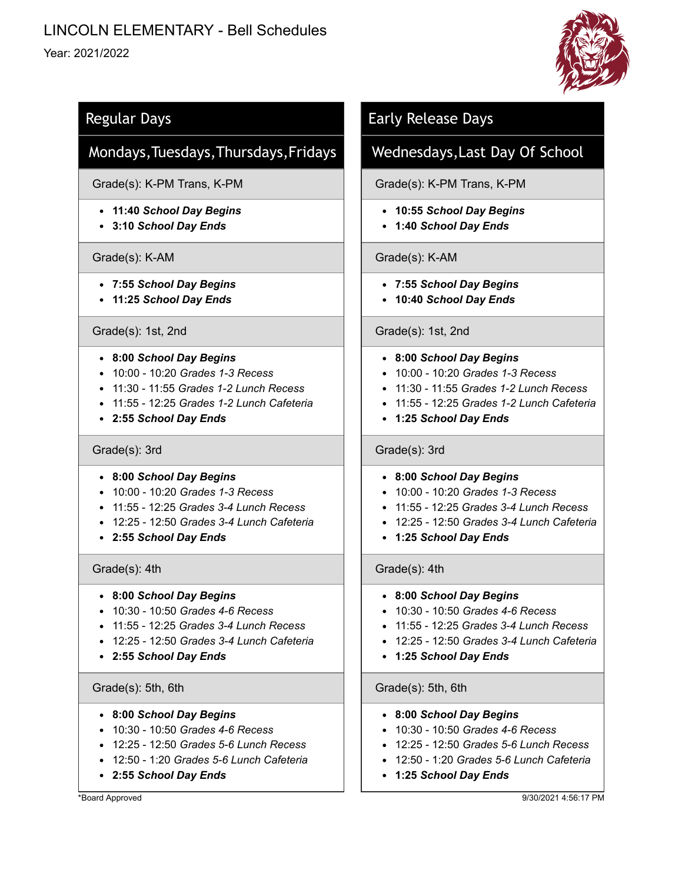# LINCOLN ELEMENTARY - Bell Schedules

# Year: 2021/2022



# Regular Days

# Mondays,Tuesdays,Thursdays,Fridays

# Grade(s): K-PM Trans, K-PM

- **11:40** *School Day Begins*
- **3:10** *School Day Ends*

### Grade(s): K-AM

- **7:55** *School Day Begins*
- **11:25** *School Day Ends*

### Grade(s): 1st, 2nd

- **8:00** *School Day Begins*
- 10:00 10:20 *Grades 1-3 Recess*
- 11:30 11:55 *Grades 1-2 Lunch Recess*
- 11:55 12:25 *Grades 1-2 Lunch Cafeteria*
- **2:55** *School Day Ends*

### Grade(s): 3rd

- **8:00** *School Day Begins*
- 10:00 10:20 *Grades 1-3 Recess*
- 11:55 12:25 *Grades 3-4 Lunch Recess*
- 12:25 12:50 *Grades 3-4 Lunch Cafeteria*
- **2:55** *School Day Ends*

# Grade(s): 4th

- **8:00** *School Day Begins*
- 10:30 10:50 *Grades 4-6 Recess*
- 11:55 12:25 *Grades 3-4 Lunch Recess*
- 12:25 12:50 *Grades 3-4 Lunch Cafeteria*
- **2:55** *School Day Ends*

### Grade(s): 5th, 6th

- **8:00** *School Day Begins*
- 10:30 10:50 *Grades 4-6 Recess*
- 12:25 12:50 *Grades 5-6 Lunch Recess*
- 12:50 1:20 *Grades 5-6 Lunch Cafeteria*
- **2:55** *School Day Ends*

\*Board Approved

# Early Release Days

# Wednesdays,Last Day Of School

Grade(s): K-PM Trans, K-PM

- **10:55** *School Day Begins*
- **1:40** *School Day Ends*

# Grade(s): K-AM

- **7:55** *School Day Begins*
- **10:40** *School Day Ends*

### Grade(s): 1st, 2nd

- **8:00** *School Day Begins*
- 10:00 10:20 *Grades 1-3 Recess*
- 11:30 11:55 *Grades 1-2 Lunch Recess*
- 11:55 12:25 *Grades 1-2 Lunch Cafeteria*
- **1:25** *School Day Ends*

# Grade(s): 3rd

- **8:00** *School Day Begins*
- 10:00 10:20 *Grades 1-3 Recess*
- 11:55 12:25 *Grades 3-4 Lunch Recess*
- 12:25 12:50 *Grades 3-4 Lunch Cafeteria*
- **1:25** *School Day Ends*

### Grade(s): 4th

- **8:00** *School Day Begins*
- 10:30 10:50 *Grades 4-6 Recess*
- 11:55 12:25 *Grades 3-4 Lunch Recess*
- 12:25 12:50 *Grades 3-4 Lunch Cafeteria*
- **1:25** *School Day Ends*

### Grade(s): 5th, 6th

- **8:00** *School Day Begins*
- 10:30 10:50 *Grades 4-6 Recess*
- 12:25 12:50 *Grades 5-6 Lunch Recess*
- 12:50 1:20 *Grades 5-6 Lunch Cafeteria*
- **1:25** *School Day Ends*

9/30/2021 4:56:17 PM